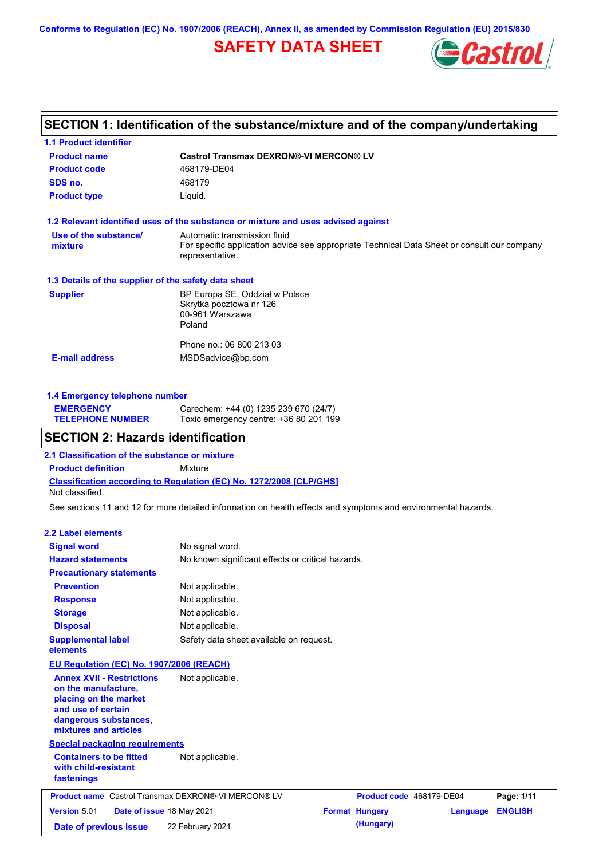**Conforms to Regulation (EC) No. 1907/2006 (REACH), Annex II, as amended by Commission Regulation (EU) 2015/830**

# **SAFETY DATA SHEET**



# **SECTION 1: Identification of the substance/mixture and of the company/undertaking**

| <b>1.1 Product identifier</b>                        |                                                                                                                                                |  |  |
|------------------------------------------------------|------------------------------------------------------------------------------------------------------------------------------------------------|--|--|
| <b>Product name</b>                                  | <b>Castrol Transmax DEXRON®-VI MERCON® LV</b>                                                                                                  |  |  |
| <b>Product code</b>                                  | 468179-DE04                                                                                                                                    |  |  |
| SDS no.                                              | 468179                                                                                                                                         |  |  |
| <b>Product type</b>                                  | Liquid.                                                                                                                                        |  |  |
|                                                      | 1.2 Relevant identified uses of the substance or mixture and uses advised against                                                              |  |  |
| Use of the substance/<br>mixture                     | Automatic transmission fluid<br>For specific application advice see appropriate Technical Data Sheet or consult our company<br>representative. |  |  |
| 1.3 Details of the supplier of the safety data sheet |                                                                                                                                                |  |  |
| <b>Supplier</b>                                      | BP Europa SE, Oddział w Polsce<br>Skrytka pocztowa nr 126<br>00-961 Warszawa<br>Poland                                                         |  |  |
|                                                      | Phone no.: 06 800 213 03                                                                                                                       |  |  |
| <b>E-mail address</b>                                | MSDSadvice@bp.com                                                                                                                              |  |  |
|                                                      |                                                                                                                                                |  |  |

## **1.4 Emergency telephone number**

| <b>EMERGENCY</b>        | Carechem: +44 (0) 1235 239 670 (24/7)  |
|-------------------------|----------------------------------------|
| <b>TELEPHONE NUMBER</b> | Toxic emergency centre: +36 80 201 199 |

## **SECTION 2: Hazards identification**

**Classification according to Regulation (EC) No. 1272/2008 [CLP/GHS] 2.1 Classification of the substance or mixture Product definition** Mixture Not classified.

See sections 11 and 12 for more detailed information on health effects and symptoms and environmental hazards.

#### **2.2 Label elements**

| <b>Signal word</b>                                                                                                                                       | No signal word.                                            |                          |          |                |
|----------------------------------------------------------------------------------------------------------------------------------------------------------|------------------------------------------------------------|--------------------------|----------|----------------|
| <b>Hazard statements</b>                                                                                                                                 | No known significant effects or critical hazards.          |                          |          |                |
| <b>Precautionary statements</b>                                                                                                                          |                                                            |                          |          |                |
| <b>Prevention</b>                                                                                                                                        | Not applicable.                                            |                          |          |                |
| <b>Response</b>                                                                                                                                          | Not applicable.                                            |                          |          |                |
| <b>Storage</b>                                                                                                                                           | Not applicable.                                            |                          |          |                |
| <b>Disposal</b>                                                                                                                                          | Not applicable.                                            |                          |          |                |
| <b>Supplemental label</b><br>elements                                                                                                                    | Safety data sheet available on request.                    |                          |          |                |
| EU Regulation (EC) No. 1907/2006 (REACH)                                                                                                                 |                                                            |                          |          |                |
| <b>Annex XVII - Restrictions</b><br>on the manufacture,<br>placing on the market<br>and use of certain<br>dangerous substances,<br>mixtures and articles | Not applicable.                                            |                          |          |                |
| <b>Special packaging requirements</b>                                                                                                                    |                                                            |                          |          |                |
| <b>Containers to be fitted</b><br>with child-resistant<br>fastenings                                                                                     | Not applicable.                                            |                          |          |                |
|                                                                                                                                                          | <b>Product name</b> Castrol Transmax DEXRON®-VI MERCON® LV | Product code 468179-DE04 |          | Page: 1/11     |
| <b>Version 5.01</b><br>Date of issue 18 May 2021                                                                                                         |                                                            | <b>Format Hungary</b>    | Language | <b>ENGLISH</b> |
|                                                                                                                                                          |                                                            |                          |          |                |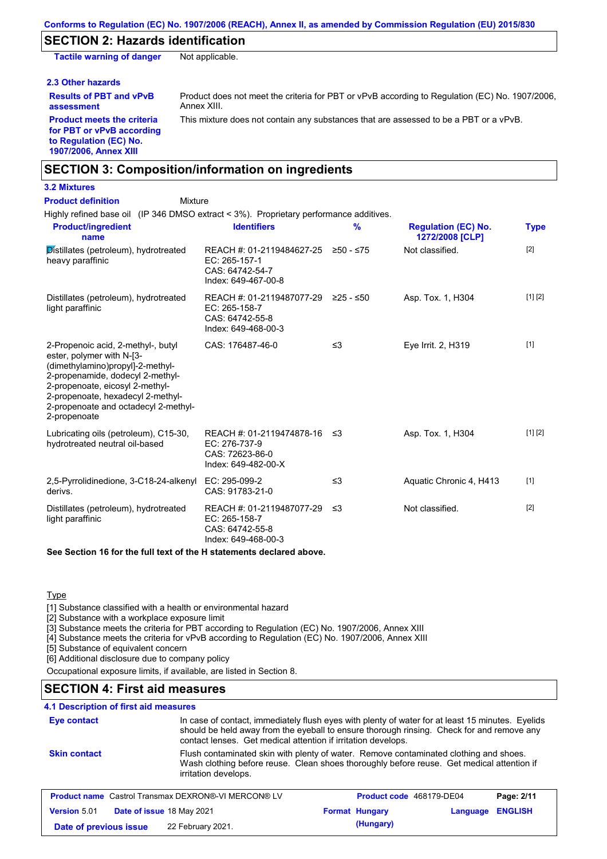## **SECTION 2: Hazards identification**

**Tactile warning of danger** Not applicable.

#### **2.3 Other hazards**

**Results of PBT and vPvB assessment**

Product does not meet the criteria for PBT or vPvB according to Regulation (EC) No. 1907/2006, Annex XIII.

**Product meets the criteria for PBT or vPvB according to Regulation (EC) No. 1907/2006, Annex XIII**

This mixture does not contain any substances that are assessed to be a PBT or a vPvB.

## **SECTION 3: Composition/information on ingredients**

# **3.2 Mixtures**

| <b>Product definition</b><br>Mixture                                                                                                                                                                                                                                    |                                                                                                |          |                                               |             |
|-------------------------------------------------------------------------------------------------------------------------------------------------------------------------------------------------------------------------------------------------------------------------|------------------------------------------------------------------------------------------------|----------|-----------------------------------------------|-------------|
| Highly refined base oil (IP 346 DMSO extract < 3%). Proprietary performance additives.                                                                                                                                                                                  |                                                                                                |          |                                               |             |
| <b>Product/ingredient</b><br>name                                                                                                                                                                                                                                       | <b>Identifiers</b>                                                                             | %        | <b>Regulation (EC) No.</b><br>1272/2008 [CLP] | <b>Type</b> |
| Distillates (petroleum), hydrotreated<br>heavy paraffinic                                                                                                                                                                                                               | REACH #: 01-2119484627-25 ≥50 - ≤75<br>EC: 265-157-1<br>CAS: 64742-54-7<br>Index: 649-467-00-8 |          | Not classified.                               | $[2]$       |
| Distillates (petroleum), hydrotreated<br>light paraffinic                                                                                                                                                                                                               | REACH #: 01-2119487077-29 ≥25 - ≤50<br>EC: 265-158-7<br>CAS: 64742-55-8<br>Index: 649-468-00-3 |          | Asp. Tox. 1, H304                             | [1] [2]     |
| 2-Propenoic acid, 2-methyl-, butyl<br>ester, polymer with N-[3-<br>(dimethylamino)propyl]-2-methyl-<br>2-propenamide, dodecyl 2-methyl-<br>2-propenoate, eicosyl 2-methyl-<br>2-propenoate, hexadecyl 2-methyl-<br>2-propenoate and octadecyl 2-methyl-<br>2-propenoate | CAS: 176487-46-0                                                                               | ≤3       | Eye Irrit. 2, H319                            | $[1]$       |
| Lubricating oils (petroleum), C15-30,<br>hydrotreated neutral oil-based                                                                                                                                                                                                 | REACH #: 01-2119474878-16<br>EC: 276-737-9<br>CAS: 72623-86-0<br>Index: 649-482-00-X           | -≤3      | Asp. Tox. 1, H304                             | [1] [2]     |
| 2,5-Pyrrolidinedione, 3-C18-24-alkenyl<br>derivs.                                                                                                                                                                                                                       | EC: 295-099-2<br>CAS: 91783-21-0                                                               | $\leq$ 3 | Aquatic Chronic 4, H413                       | $[1]$       |
| Distillates (petroleum), hydrotreated<br>light paraffinic                                                                                                                                                                                                               | REACH #: 01-2119487077-29<br>EC: 265-158-7<br>CAS: 64742-55-8<br>Index: 649-468-00-3           | ≤3       | Not classified.                               | $[2]$       |
| $\sim$ . One of the state of the state of the state of the state of the state of the state of the state of the state of the state of the state of the state of the state of the state of the state of the state of the state of                                         |                                                                                                |          |                                               |             |

**See Section 16 for the full text of the H statements declared above.**

## **Type**

[1] Substance classified with a health or environmental hazard

[2] Substance with a workplace exposure limit

[3] Substance meets the criteria for PBT according to Regulation (EC) No. 1907/2006, Annex XIII

[4] Substance meets the criteria for vPvB according to Regulation (EC) No. 1907/2006, Annex XIII

[5] Substance of equivalent concern

[6] Additional disclosure due to company policy

Occupational exposure limits, if available, are listed in Section 8.

# **SECTION 4: First aid measures**

## **4.1 Description of first aid measures**

| Eye contact            |                                                            | In case of contact, immediately flush eyes with plenty of water for at least 15 minutes. Eyelids<br>should be held away from the eyeball to ensure thorough rinsing. Check for and remove any<br>contact lenses. Get medical attention if irritation develops. |  |
|------------------------|------------------------------------------------------------|----------------------------------------------------------------------------------------------------------------------------------------------------------------------------------------------------------------------------------------------------------------|--|
| <b>Skin contact</b>    | irritation develops.                                       | Flush contaminated skin with plenty of water. Remove contaminated clothing and shoes.<br>Wash clothing before reuse. Clean shoes thoroughly before reuse. Get medical attention if                                                                             |  |
|                        | <b>Product name</b> Castrol Transmax DEXRON®-VI MERCON® LV | Product code 468179-DE04<br>Page: 2/11                                                                                                                                                                                                                         |  |
| <b>Version 5.01</b>    | Date of issue 18 May 2021                                  | <b>ENGLISH</b><br><b>Format Hungary</b><br>Language                                                                                                                                                                                                            |  |
| Date of previous issue | 22 February 2021.                                          | (Hungary)                                                                                                                                                                                                                                                      |  |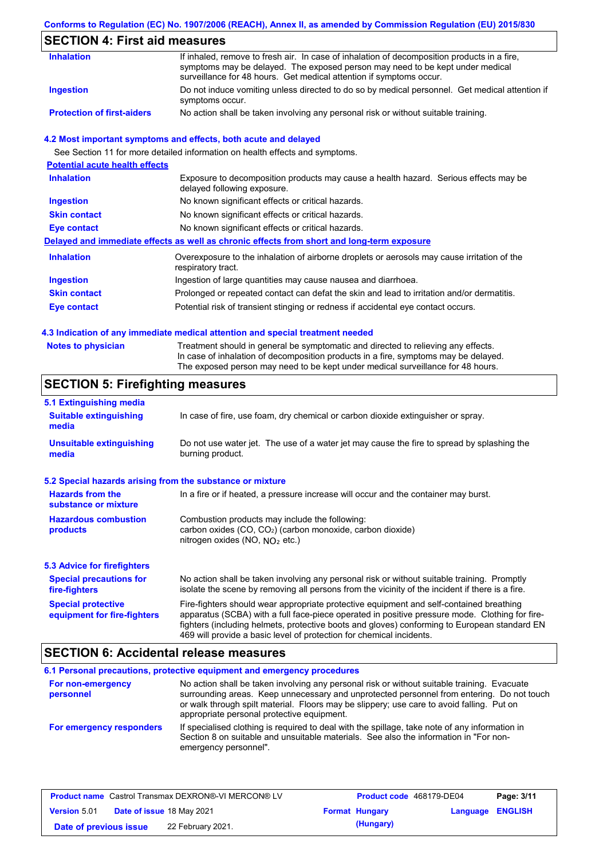#### **Conforms to Regulation (EC) No. 1907/2006 (REACH), Annex II, as amended by Commission Regulation (EU) 2015/830**

# **SECTION 4: First aid measures**

| <b>Inhalation</b>                 | If inhaled, remove to fresh air. In case of inhalation of decomposition products in a fire,<br>symptoms may be delayed. The exposed person may need to be kept under medical<br>surveillance for 48 hours. Get medical attention if symptoms occur. |
|-----------------------------------|-----------------------------------------------------------------------------------------------------------------------------------------------------------------------------------------------------------------------------------------------------|
| Ingestion                         | Do not induce vomiting unless directed to do so by medical personnel. Get medical attention if<br>symptoms occur.                                                                                                                                   |
| <b>Protection of first-aiders</b> | No action shall be taken involving any personal risk or without suitable training.                                                                                                                                                                  |

### **4.2 Most important symptoms and effects, both acute and delayed**

See Section 11 for more detailed information on health effects and symptoms.

| <b>Potential acute health effects</b> |                                                                                                                     |
|---------------------------------------|---------------------------------------------------------------------------------------------------------------------|
| <b>Inhalation</b>                     | Exposure to decomposition products may cause a health hazard. Serious effects may be<br>delayed following exposure. |
| <b>Ingestion</b>                      | No known significant effects or critical hazards.                                                                   |
| <b>Skin contact</b>                   | No known significant effects or critical hazards.                                                                   |
| Eye contact                           | No known significant effects or critical hazards.                                                                   |
|                                       | Delayed and immediate effects as well as chronic effects from short and long-term exposure                          |
| <b>Inhalation</b>                     | Overexposure to the inhalation of airborne droplets or aerosols may cause irritation of the<br>respiratory tract.   |
| <b>Ingestion</b>                      | Ingestion of large quantities may cause nausea and diarrhoea.                                                       |
| <b>Skin contact</b>                   | Prolonged or repeated contact can defat the skin and lead to irritation and/or dermatitis.                          |
| Eye contact                           | Potential risk of transient stinging or redness if accidental eye contact occurs.                                   |
|                                       |                                                                                                                     |

#### **4.3 Indication of any immediate medical attention and special treatment needed**

| <b>Notes to physician</b> | Treatment should in general be symptomatic and directed to relieving any effects.   |
|---------------------------|-------------------------------------------------------------------------------------|
|                           | In case of inhalation of decomposition products in a fire, symptoms may be delayed. |
|                           | The exposed person may need to be kept under medical surveillance for 48 hours.     |

## **SECTION 5: Firefighting measures**

| 5.1 Extinguishing media                                   |                                                                                                                                                                                                                                                                                                                                                                   |  |  |
|-----------------------------------------------------------|-------------------------------------------------------------------------------------------------------------------------------------------------------------------------------------------------------------------------------------------------------------------------------------------------------------------------------------------------------------------|--|--|
| <b>Suitable extinguishing</b><br>media                    | In case of fire, use foam, dry chemical or carbon dioxide extinguisher or spray.                                                                                                                                                                                                                                                                                  |  |  |
| <b>Unsuitable extinguishing</b><br>media                  | Do not use water jet. The use of a water jet may cause the fire to spread by splashing the<br>burning product.                                                                                                                                                                                                                                                    |  |  |
| 5.2 Special hazards arising from the substance or mixture |                                                                                                                                                                                                                                                                                                                                                                   |  |  |
| <b>Hazards from the</b><br>substance or mixture           | In a fire or if heated, a pressure increase will occur and the container may burst.                                                                                                                                                                                                                                                                               |  |  |
| <b>Hazardous combustion</b><br>products                   | Combustion products may include the following:<br>carbon oxides (CO, CO <sub>2</sub> ) (carbon monoxide, carbon dioxide)<br>nitrogen oxides (NO, $NO2$ etc.)                                                                                                                                                                                                      |  |  |
| <b>5.3 Advice for firefighters</b>                        |                                                                                                                                                                                                                                                                                                                                                                   |  |  |
| <b>Special precautions for</b><br>fire-fighters           | No action shall be taken involving any personal risk or without suitable training. Promptly<br>isolate the scene by removing all persons from the vicinity of the incident if there is a fire.                                                                                                                                                                    |  |  |
| <b>Special protective</b><br>equipment for fire-fighters  | Fire-fighters should wear appropriate protective equipment and self-contained breathing<br>apparatus (SCBA) with a full face-piece operated in positive pressure mode. Clothing for fire-<br>fighters (including helmets, protective boots and gloves) conforming to European standard EN<br>469 will provide a basic level of protection for chemical incidents. |  |  |

## **SECTION 6: Accidental release measures**

#### **6.1 Personal precautions, protective equipment and emergency procedures For non-emergency personnel For emergency responders** No action shall be taken involving any personal risk or without suitable training. Evacuate surrounding areas. Keep unnecessary and unprotected personnel from entering. Do not touch or walk through spilt material. Floors may be slippery; use care to avoid falling. Put on appropriate personal protective equipment. If specialised clothing is required to deal with the spillage, take note of any information in Section 8 on suitable and unsuitable materials. See also the information in "For nonemergency personnel".

|                        | <b>Product name</b> Castrol Transmax DEXRON®-VI MERCON® LV | Product code 468179-DE04 |                         | Page: 3/11 |
|------------------------|------------------------------------------------------------|--------------------------|-------------------------|------------|
| <b>Version 5.01</b>    | Date of issue 18 May 2021                                  | <b>Format Hungary</b>    | <b>Language ENGLISH</b> |            |
| Date of previous issue | 22 February 2021.                                          | (Hungary)                |                         |            |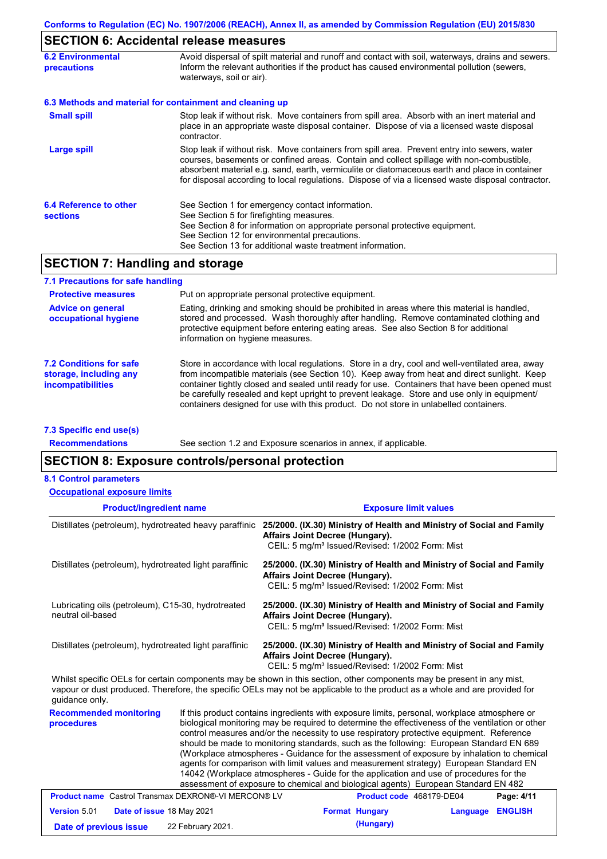# **SECTION 6: Accidental release measures**

| <b>6.2 Environmental</b><br>precautions   | Avoid dispersal of spilt material and runoff and contact with soil, waterways, drains and sewers.<br>Inform the relevant authorities if the product has caused environmental pollution (sewers,<br>waterways, soil or air).                                                                                                                                                                    |  |  |
|-------------------------------------------|------------------------------------------------------------------------------------------------------------------------------------------------------------------------------------------------------------------------------------------------------------------------------------------------------------------------------------------------------------------------------------------------|--|--|
|                                           | 6.3 Methods and material for containment and cleaning up                                                                                                                                                                                                                                                                                                                                       |  |  |
| <b>Small spill</b>                        | Stop leak if without risk. Move containers from spill area. Absorb with an inert material and<br>place in an appropriate waste disposal container. Dispose of via a licensed waste disposal<br>contractor.                                                                                                                                                                                     |  |  |
| Large spill                               | Stop leak if without risk. Move containers from spill area. Prevent entry into sewers, water<br>courses, basements or confined areas. Contain and collect spillage with non-combustible,<br>absorbent material e.g. sand, earth, vermiculite or diatomaceous earth and place in container<br>for disposal according to local regulations. Dispose of via a licensed waste disposal contractor. |  |  |
| 6.4 Reference to other<br><b>sections</b> | See Section 1 for emergency contact information.<br>See Section 5 for firefighting measures.<br>See Section 8 for information on appropriate personal protective equipment.<br>See Section 12 for environmental precautions.<br>See Section 13 for additional waste treatment information.                                                                                                     |  |  |

# **SECTION 7: Handling and storage**

| 7.1 Precautions for safe handling                                                    |                                                                                                                                                                                                                                                                                                                                                                                                                                                                                          |  |  |  |
|--------------------------------------------------------------------------------------|------------------------------------------------------------------------------------------------------------------------------------------------------------------------------------------------------------------------------------------------------------------------------------------------------------------------------------------------------------------------------------------------------------------------------------------------------------------------------------------|--|--|--|
| <b>Protective measures</b>                                                           | Put on appropriate personal protective equipment.                                                                                                                                                                                                                                                                                                                                                                                                                                        |  |  |  |
| <b>Advice on general</b><br>occupational hygiene                                     | Eating, drinking and smoking should be prohibited in areas where this material is handled.<br>stored and processed. Wash thoroughly after handling. Remove contaminated clothing and<br>protective equipment before entering eating areas. See also Section 8 for additional<br>information on hygiene measures.                                                                                                                                                                         |  |  |  |
| <b>7.2 Conditions for safe</b><br>storage, including any<br><i>incompatibilities</i> | Store in accordance with local regulations. Store in a dry, cool and well-ventilated area, away<br>from incompatible materials (see Section 10). Keep away from heat and direct sunlight. Keep<br>container tightly closed and sealed until ready for use. Containers that have been opened must<br>be carefully resealed and kept upright to prevent leakage. Store and use only in equipment/<br>containers designed for use with this product. Do not store in unlabelled containers. |  |  |  |

**7.3 Specific end use(s) Recommendations**

See section 1.2 and Exposure scenarios in annex, if applicable.

# **SECTION 8: Exposure controls/personal protection**

| <b>8.1 Control parameters</b>                                           |  |                                                                                                                                                                                                                                                                                                                                                                                                                                                                                                                                                                                                                                                                                                                                                                 |  |  |
|-------------------------------------------------------------------------|--|-----------------------------------------------------------------------------------------------------------------------------------------------------------------------------------------------------------------------------------------------------------------------------------------------------------------------------------------------------------------------------------------------------------------------------------------------------------------------------------------------------------------------------------------------------------------------------------------------------------------------------------------------------------------------------------------------------------------------------------------------------------------|--|--|
| <b>Occupational exposure limits</b>                                     |  |                                                                                                                                                                                                                                                                                                                                                                                                                                                                                                                                                                                                                                                                                                                                                                 |  |  |
| <b>Product/ingredient name</b>                                          |  | <b>Exposure limit values</b>                                                                                                                                                                                                                                                                                                                                                                                                                                                                                                                                                                                                                                                                                                                                    |  |  |
| Distillates (petroleum), hydrotreated heavy paraffinic                  |  | 25/2000. (IX.30) Ministry of Health and Ministry of Social and Family<br>Affairs Joint Decree (Hungary).<br>CEIL: 5 mg/m <sup>3</sup> Issued/Revised: 1/2002 Form: Mist                                                                                                                                                                                                                                                                                                                                                                                                                                                                                                                                                                                         |  |  |
| Distillates (petroleum), hydrotreated light paraffinic                  |  | 25/2000. (IX.30) Ministry of Health and Ministry of Social and Family<br>Affairs Joint Decree (Hungary).<br>CEIL: 5 mg/m <sup>3</sup> Issued/Revised: 1/2002 Form: Mist                                                                                                                                                                                                                                                                                                                                                                                                                                                                                                                                                                                         |  |  |
| Lubricating oils (petroleum), C15-30, hydrotreated<br>neutral oil-based |  | 25/2000. (IX.30) Ministry of Health and Ministry of Social and Family<br>Affairs Joint Decree (Hungary).<br>CEIL: 5 mg/m <sup>3</sup> Issued/Revised: 1/2002 Form: Mist                                                                                                                                                                                                                                                                                                                                                                                                                                                                                                                                                                                         |  |  |
| Distillates (petroleum), hydrotreated light paraffinic                  |  | 25/2000. (IX.30) Ministry of Health and Ministry of Social and Family<br>Affairs Joint Decree (Hungary).<br>CEIL: 5 mg/m <sup>3</sup> Issued/Revised: 1/2002 Form: Mist                                                                                                                                                                                                                                                                                                                                                                                                                                                                                                                                                                                         |  |  |
| quidance only.                                                          |  | Whilst specific OELs for certain components may be shown in this section, other components may be present in any mist,<br>vapour or dust produced. Therefore, the specific OELs may not be applicable to the product as a whole and are provided for                                                                                                                                                                                                                                                                                                                                                                                                                                                                                                            |  |  |
| <b>Recommended monitoring</b><br>procedures                             |  | If this product contains ingredients with exposure limits, personal, workplace atmosphere or<br>biological monitoring may be required to determine the effectiveness of the ventilation or other<br>control measures and/or the necessity to use respiratory protective equipment. Reference<br>should be made to monitoring standards, such as the following: European Standard EN 689<br>(Workplace atmospheres - Guidance for the assessment of exposure by inhalation to chemical<br>agents for comparison with limit values and measurement strategy) European Standard EN<br>14042 (Workplace atmospheres - Guide for the application and use of procedures for the<br>assessment of exposure to chemical and biological agents) European Standard EN 482 |  |  |
| <b>Product name</b> Castrol Transmax DEXRON®-VI MERCON® LV              |  | Product code 468179-DE04<br>Page: 4/11                                                                                                                                                                                                                                                                                                                                                                                                                                                                                                                                                                                                                                                                                                                          |  |  |
|                                                                         |  | .                                                                                                                                                                                                                                                                                                                                                                                                                                                                                                                                                                                                                                                                                                                                                               |  |  |

| <b>Version 5.01</b>    | <b>Date of issue 18 May 2021</b> | <b>Format Hungary</b> | <b>Language ENGLISH</b> |  |
|------------------------|----------------------------------|-----------------------|-------------------------|--|
| Date of previous issue | 22 February 2021.                | (Hungary)             |                         |  |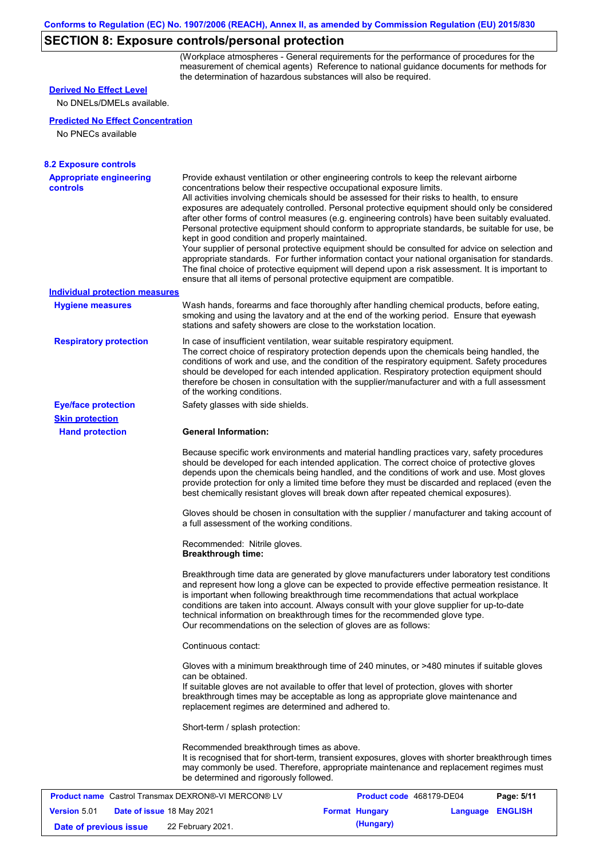## **SECTION 8: Exposure controls/personal protection**

(Workplace atmospheres - General requirements for the performance of procedures for the measurement of chemical agents) Reference to national guidance documents for methods for the determination of hazardous substances will also be required.

### **Hand protection** In case of insufficient ventilation, wear suitable respiratory equipment. The correct choice of respiratory protection depends upon the chemicals being handled, the conditions of work and use, and the condition of the respiratory equipment. Safety procedures should be developed for each intended application. Respiratory protection equipment should therefore be chosen in consultation with the supplier/manufacturer and with a full assessment of the working conditions. **General Information:** Because specific work environments and material handling practices vary, safety procedures should be developed for each intended application. The correct choice of protective gloves depends upon the chemicals being handled, and the conditions of work and use. Most gloves provide protection for only a limited time before they must be discarded and replaced (even the best chemically resistant gloves will break down after repeated chemical exposures). Gloves should be chosen in consultation with the supplier / manufacturer and taking account of a full assessment of the working conditions. Recommended: Nitrile gloves. **Breakthrough time:** Breakthrough time data are generated by glove manufacturers under laboratory test conditions and represent how long a glove can be expected to provide effective permeation resistance. It is important when following breakthrough time recommendations that actual workplace conditions are taken into account. Always consult with your glove supplier for up-to-date technical information on breakthrough times for the recommended glove type. Our recommendations on the selection of gloves are as follows: Continuous contact: Gloves with a minimum breakthrough time of 240 minutes, or >480 minutes if suitable gloves can be obtained. If suitable gloves are not available to offer that level of protection, gloves with shorter breakthrough times may be acceptable as long as appropriate glove maintenance and replacement regimes are determined and adhered to. Short-term / splash protection: Recommended breakthrough times as above. It is recognised that for short-term, transient exposures, gloves with shorter breakthrough times may commonly be used. Therefore, appropriate maintenance and replacement regimes must be determined and rigorously followed. **Eye/face protection** Safety glasses with side shields. **Respiratory protection Skin protection Appropriate engineering controls** Provide exhaust ventilation or other engineering controls to keep the relevant airborne concentrations below their respective occupational exposure limits. All activities involving chemicals should be assessed for their risks to health, to ensure exposures are adequately controlled. Personal protective equipment should only be considered after other forms of control measures (e.g. engineering controls) have been suitably evaluated. Personal protective equipment should conform to appropriate standards, be suitable for use, be kept in good condition and properly maintained. Your supplier of personal protective equipment should be consulted for advice on selection and appropriate standards. For further information contact your national organisation for standards. The final choice of protective equipment will depend upon a risk assessment. It is important to ensure that all items of personal protective equipment are compatible. Wash hands, forearms and face thoroughly after handling chemical products, before eating, smoking and using the lavatory and at the end of the working period. Ensure that eyewash stations and safety showers are close to the workstation location. **8.2 Exposure controls Hygiene measures** No DNELs/DMELs available. **Predicted No Effect Concentration** No PNECs available **Derived No Effect Level Individual protection measures**

|                        |                                  | <b>Product name</b> Castrol Transmax DEXRON®-VI MERCON® LV | Product code 468179-DE04 |                         | Page: 5/11 |
|------------------------|----------------------------------|------------------------------------------------------------|--------------------------|-------------------------|------------|
| <b>Version 5.01</b>    | <b>Date of issue 18 May 2021</b> |                                                            | <b>Format Hungary</b>    | <b>Language ENGLISH</b> |            |
| Date of previous issue |                                  | 22 February 2021.                                          | (Hungary)                |                         |            |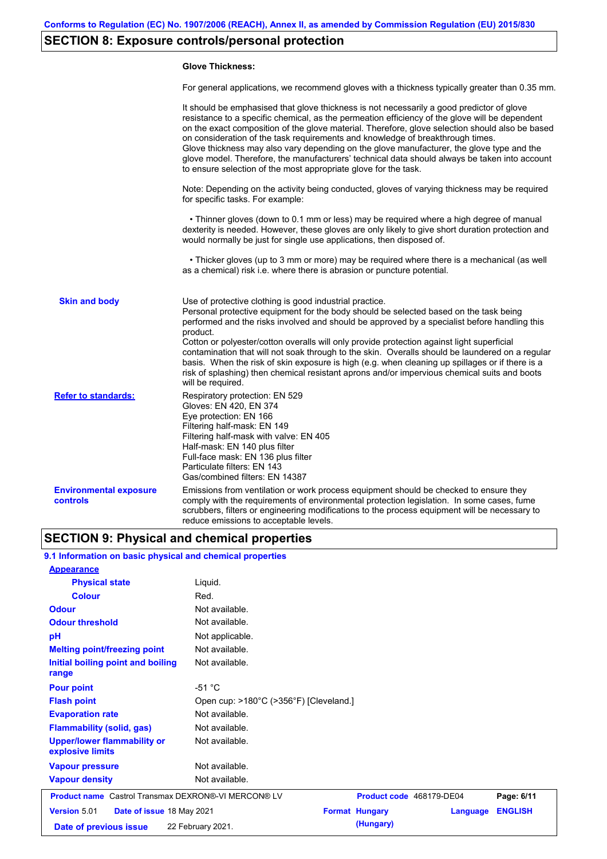# **SECTION 8: Exposure controls/personal protection**

#### **Glove Thickness:**

For general applications, we recommend gloves with a thickness typically greater than 0.35 mm.

|                                                  | It should be emphasised that glove thickness is not necessarily a good predictor of glove<br>resistance to a specific chemical, as the permeation efficiency of the glove will be dependent<br>on the exact composition of the glove material. Therefore, glove selection should also be based<br>on consideration of the task requirements and knowledge of breakthrough times.<br>Glove thickness may also vary depending on the glove manufacturer, the glove type and the<br>glove model. Therefore, the manufacturers' technical data should always be taken into account<br>to ensure selection of the most appropriate glove for the task.                                     |
|--------------------------------------------------|---------------------------------------------------------------------------------------------------------------------------------------------------------------------------------------------------------------------------------------------------------------------------------------------------------------------------------------------------------------------------------------------------------------------------------------------------------------------------------------------------------------------------------------------------------------------------------------------------------------------------------------------------------------------------------------|
|                                                  | Note: Depending on the activity being conducted, gloves of varying thickness may be required<br>for specific tasks. For example:                                                                                                                                                                                                                                                                                                                                                                                                                                                                                                                                                      |
|                                                  | • Thinner gloves (down to 0.1 mm or less) may be required where a high degree of manual<br>dexterity is needed. However, these gloves are only likely to give short duration protection and<br>would normally be just for single use applications, then disposed of.                                                                                                                                                                                                                                                                                                                                                                                                                  |
|                                                  | • Thicker gloves (up to 3 mm or more) may be required where there is a mechanical (as well<br>as a chemical) risk i.e. where there is abrasion or puncture potential.                                                                                                                                                                                                                                                                                                                                                                                                                                                                                                                 |
| <b>Skin and body</b>                             | Use of protective clothing is good industrial practice.<br>Personal protective equipment for the body should be selected based on the task being<br>performed and the risks involved and should be approved by a specialist before handling this<br>product.<br>Cotton or polyester/cotton overalls will only provide protection against light superficial<br>contamination that will not soak through to the skin. Overalls should be laundered on a regular<br>basis. When the risk of skin exposure is high (e.g. when cleaning up spillages or if there is a<br>risk of splashing) then chemical resistant aprons and/or impervious chemical suits and boots<br>will be required. |
| <b>Refer to standards:</b>                       | Respiratory protection: EN 529<br>Gloves: EN 420, EN 374<br>Eye protection: EN 166<br>Filtering half-mask: EN 149<br>Filtering half-mask with valve: EN 405<br>Half-mask: EN 140 plus filter<br>Full-face mask: EN 136 plus filter<br>Particulate filters: EN 143<br>Gas/combined filters: EN 14387                                                                                                                                                                                                                                                                                                                                                                                   |
| <b>Environmental exposure</b><br><b>controls</b> | Emissions from ventilation or work process equipment should be checked to ensure they<br>comply with the requirements of environmental protection legislation. In some cases, fume<br>scrubbers, filters or engineering modifications to the process equipment will be necessary to<br>reduce emissions to acceptable levels.                                                                                                                                                                                                                                                                                                                                                         |

# **SECTION 9: Physical and chemical properties**

### **9.1 Information on basic physical and chemical properties**

| <b>Appearance</b>                                          |                                        |                       |                          |                |
|------------------------------------------------------------|----------------------------------------|-----------------------|--------------------------|----------------|
| <b>Physical state</b>                                      | Liquid.                                |                       |                          |                |
| <b>Colour</b>                                              | Red.                                   |                       |                          |                |
| <b>Odour</b>                                               | Not available.                         |                       |                          |                |
| <b>Odour threshold</b>                                     | Not available.                         |                       |                          |                |
| pH                                                         | Not applicable.                        |                       |                          |                |
| <b>Melting point/freezing point</b>                        | Not available.                         |                       |                          |                |
| Initial boiling point and boiling<br>range                 | Not available.                         |                       |                          |                |
| <b>Pour point</b>                                          | $-51 °C$                               |                       |                          |                |
| <b>Flash point</b>                                         | Open cup: >180°C (>356°F) [Cleveland.] |                       |                          |                |
| <b>Evaporation rate</b>                                    | Not available.                         |                       |                          |                |
| <b>Flammability (solid, gas)</b>                           | Not available.                         |                       |                          |                |
| <b>Upper/lower flammability or</b><br>explosive limits     | Not available.                         |                       |                          |                |
| <b>Vapour pressure</b>                                     | Not available.                         |                       |                          |                |
| <b>Vapour density</b>                                      | Not available.                         |                       |                          |                |
| <b>Product name</b> Castrol Transmax DEXRON®-VI MERCON® LV |                                        |                       | Product code 468179-DE04 | Page: 6/11     |
| <b>Version 5.01</b><br>Date of issue 18 May 2021           |                                        | <b>Format Hungary</b> | Language                 | <b>ENGLISH</b> |
| Date of previous issue                                     | 22 February 2021.                      | (Hungary)             |                          |                |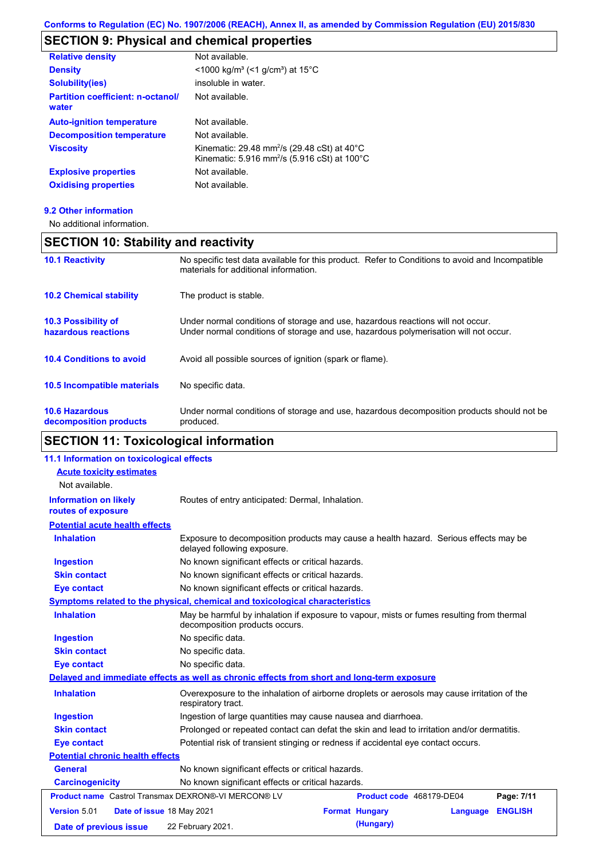# **SECTION 9: Physical and chemical properties**

| <b>Relative density</b>                           | Not available.                                                                                                                            |
|---------------------------------------------------|-------------------------------------------------------------------------------------------------------------------------------------------|
| <b>Density</b>                                    | $<$ 1000 kg/m <sup>3</sup> (<1 g/cm <sup>3</sup> ) at 15 <sup>°</sup> C                                                                   |
| <b>Solubility(ies)</b>                            | insoluble in water.                                                                                                                       |
| <b>Partition coefficient: n-octanol/</b><br>water | Not available.                                                                                                                            |
| <b>Auto-ignition temperature</b>                  | Not available.                                                                                                                            |
| <b>Decomposition temperature</b>                  | Not available.                                                                                                                            |
| <b>Viscosity</b>                                  | Kinematic: 29.48 mm <sup>2</sup> /s (29.48 cSt) at 40 $^{\circ}$ C<br>Kinematic: 5.916 mm <sup>2</sup> /s (5.916 cSt) at 100 $^{\circ}$ C |
| <b>Explosive properties</b>                       | Not available.                                                                                                                            |
| <b>Oxidising properties</b>                       | Not available.                                                                                                                            |

#### **9.2 Other information**

No additional information.

# **SECTION 10: Stability and reactivity**

| <b>10.1 Reactivity</b>                            | No specific test data available for this product. Refer to Conditions to avoid and Incompatible<br>materials for additional information.                                |
|---------------------------------------------------|-------------------------------------------------------------------------------------------------------------------------------------------------------------------------|
| <b>10.2 Chemical stability</b>                    | The product is stable.                                                                                                                                                  |
| <b>10.3 Possibility of</b><br>hazardous reactions | Under normal conditions of storage and use, hazardous reactions will not occur.<br>Under normal conditions of storage and use, hazardous polymerisation will not occur. |
| <b>10.4 Conditions to avoid</b>                   | Avoid all possible sources of ignition (spark or flame).                                                                                                                |
| <b>10.5 Incompatible materials</b>                | No specific data.                                                                                                                                                       |
| <b>10.6 Hazardous</b><br>decomposition products   | Under normal conditions of storage and use, hazardous decomposition products should not be<br>produced.                                                                 |

# **SECTION 11: Toxicological information**

| 11.1 Information on toxicological effects                  |                                                                                                                             |                                                   |          |                |
|------------------------------------------------------------|-----------------------------------------------------------------------------------------------------------------------------|---------------------------------------------------|----------|----------------|
| <b>Acute toxicity estimates</b>                            |                                                                                                                             |                                                   |          |                |
| Not available.                                             |                                                                                                                             |                                                   |          |                |
| <b>Information on likely</b><br>routes of exposure         | Routes of entry anticipated: Dermal, Inhalation.                                                                            |                                                   |          |                |
| <b>Potential acute health effects</b>                      |                                                                                                                             |                                                   |          |                |
| <b>Inhalation</b>                                          | Exposure to decomposition products may cause a health hazard. Serious effects may be<br>delayed following exposure.         |                                                   |          |                |
| <b>Ingestion</b>                                           | No known significant effects or critical hazards.                                                                           |                                                   |          |                |
| <b>Skin contact</b>                                        | No known significant effects or critical hazards.                                                                           |                                                   |          |                |
| <b>Eye contact</b>                                         |                                                                                                                             | No known significant effects or critical hazards. |          |                |
|                                                            | Symptoms related to the physical, chemical and toxicological characteristics                                                |                                                   |          |                |
| <b>Inhalation</b>                                          | May be harmful by inhalation if exposure to vapour, mists or fumes resulting from thermal<br>decomposition products occurs. |                                                   |          |                |
| <b>Ingestion</b>                                           | No specific data.                                                                                                           |                                                   |          |                |
| <b>Skin contact</b>                                        | No specific data.                                                                                                           |                                                   |          |                |
| <b>Eye contact</b>                                         | No specific data.                                                                                                           |                                                   |          |                |
|                                                            | Delayed and immediate effects as well as chronic effects from short and long-term exposure                                  |                                                   |          |                |
| <b>Inhalation</b>                                          | Overexposure to the inhalation of airborne droplets or aerosols may cause irritation of the<br>respiratory tract.           |                                                   |          |                |
| <b>Ingestion</b>                                           | Ingestion of large quantities may cause nausea and diarrhoea.                                                               |                                                   |          |                |
| <b>Skin contact</b>                                        | Prolonged or repeated contact can defat the skin and lead to irritation and/or dermatitis.                                  |                                                   |          |                |
| <b>Eye contact</b>                                         | Potential risk of transient stinging or redness if accidental eye contact occurs.                                           |                                                   |          |                |
| <b>Potential chronic health effects</b>                    |                                                                                                                             |                                                   |          |                |
| <b>General</b>                                             | No known significant effects or critical hazards.                                                                           |                                                   |          |                |
| <b>Carcinogenicity</b>                                     | No known significant effects or critical hazards.                                                                           |                                                   |          |                |
| <b>Product name</b> Castrol Transmax DEXRON®-VI MERCON® LV |                                                                                                                             | Product code 468179-DE04                          |          | Page: 7/11     |
| Version 5.01<br>Date of issue 18 May 2021                  |                                                                                                                             | <b>Format Hungary</b>                             | Language | <b>ENGLISH</b> |
| Date of previous issue                                     | 22 February 2021.                                                                                                           | (Hungary)                                         |          |                |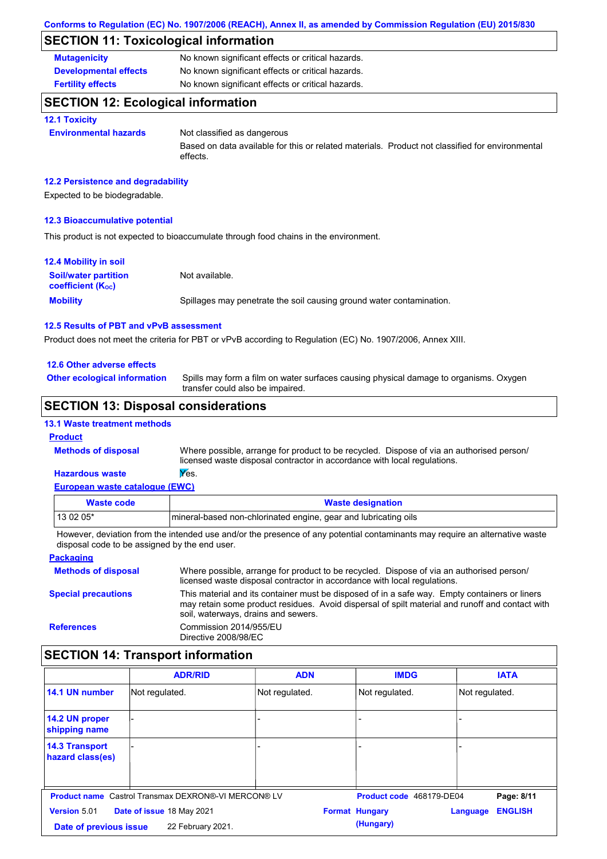# **SECTION 11: Toxicological information**

| <b>Mutagenicity</b>          | No known significant effects or critical hazards. |
|------------------------------|---------------------------------------------------|
| <b>Developmental effects</b> | No known significant effects or critical hazards. |
| <b>Fertility effects</b>     | No known significant effects or critical hazards. |

## **SECTION 12: Ecological information**

#### **12.1 Toxicity**

**Environmental hazards** Not classified as dangerous

Based on data available for this or related materials. Product not classified for environmental effects.

#### **12.2 Persistence and degradability**

Expected to be biodegradable.

#### **12.3 Bioaccumulative potential**

This product is not expected to bioaccumulate through food chains in the environment.

| <b>12.4 Mobility in soil</b>                                  |                                                                      |
|---------------------------------------------------------------|----------------------------------------------------------------------|
| <b>Soil/water partition</b><br>coefficient (K <sub>oc</sub> ) | Not available.                                                       |
| <b>Mobility</b>                                               | Spillages may penetrate the soil causing ground water contamination. |

#### **12.5 Results of PBT and vPvB assessment**

Product does not meet the criteria for PBT or vPvB according to Regulation (EC) No. 1907/2006, Annex XIII.

#### **12.6 Other adverse effects**

**Other ecological information**

Spills may form a film on water surfaces causing physical damage to organisms. Oxygen transfer could also be impaired.

## **SECTION 13: Disposal considerations**

#### **13.1 Waste treatment methods**

#### **Product**

**Methods of disposal**

**Hazardous waste Wes.** Where possible, arrange for product to be recycled. Dispose of via an authorised person/ licensed waste disposal contractor in accordance with local regulations.

#### **European waste catalogue (EWC)**

| Waste code | <b>Waste designation</b>                                        |
|------------|-----------------------------------------------------------------|
| $130205*$  | mineral-based non-chlorinated engine, gear and lubricating oils |

However, deviation from the intended use and/or the presence of any potential contaminants may require an alternative waste disposal code to be assigned by the end user.

| <b>Packaging</b>           |                                                                                                                                                                                                                                         |
|----------------------------|-----------------------------------------------------------------------------------------------------------------------------------------------------------------------------------------------------------------------------------------|
| <b>Methods of disposal</b> | Where possible, arrange for product to be recycled. Dispose of via an authorised person/<br>licensed waste disposal contractor in accordance with local regulations.                                                                    |
| <b>Special precautions</b> | This material and its container must be disposed of in a safe way. Empty containers or liners<br>may retain some product residues. Avoid dispersal of spilt material and runoff and contact with<br>soil, waterways, drains and sewers. |
| <b>References</b>          | Commission 2014/955/EU<br>Directive 2008/98/EC                                                                                                                                                                                          |

## **SECTION 14: Transport information**

|                                                  | <b>ADR/RID</b>                                             | <b>ADN</b>     | <b>IMDG</b>              | <b>IATA</b>                |  |
|--------------------------------------------------|------------------------------------------------------------|----------------|--------------------------|----------------------------|--|
| 14.1 UN number                                   | Not regulated.                                             | Not regulated. | Not regulated.           | Not regulated.             |  |
| 14.2 UN proper<br>shipping name                  |                                                            | ۰              |                          |                            |  |
| <b>14.3 Transport</b><br>hazard class(es)        |                                                            |                |                          |                            |  |
|                                                  | <b>Product name</b> Castrol Transmax DEXRON®-VI MERCON® LV |                | Product code 468179-DE04 | Page: 8/11                 |  |
| <b>Version 5.01</b><br>Date of issue 18 May 2021 |                                                            |                | <b>Format Hungary</b>    | <b>ENGLISH</b><br>Language |  |
| Date of previous issue                           | 22 February 2021.                                          |                | (Hungary)                |                            |  |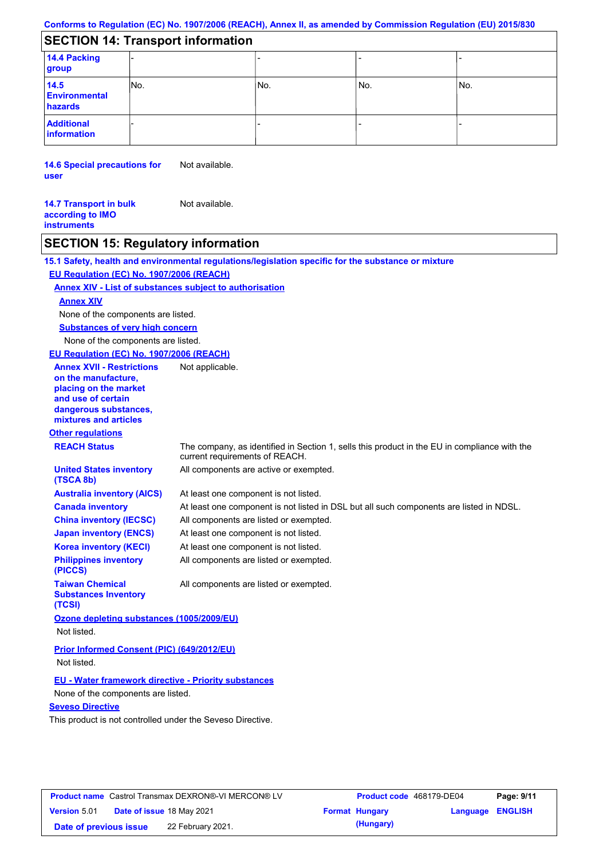## **Conforms to Regulation (EC) No. 1907/2006 (REACH), Annex II, as amended by Commission Regulation (EU) 2015/830**

# **SECTION 14: Transport information**

| 14.4 Packing<br>group                   |     |     |       |     |
|-----------------------------------------|-----|-----|-------|-----|
| 14.5<br><b>Environmental</b><br>hazards | No. | No. | l No. | No. |
| <b>Additional</b><br>information        |     |     |       |     |

**14.6 Special precautions for user** Not available.

**14.7 Transport in bulk according to IMO instruments** Not available.

# **SECTION 15: Regulatory information**

|                                                                                                                                                                                            | 15.1 Safety, health and environmental regulations/legislation specific for the substance or mixture                            |
|--------------------------------------------------------------------------------------------------------------------------------------------------------------------------------------------|--------------------------------------------------------------------------------------------------------------------------------|
| EU Regulation (EC) No. 1907/2006 (REACH)                                                                                                                                                   |                                                                                                                                |
| <b>Annex XIV - List of substances subject to authorisation</b>                                                                                                                             |                                                                                                                                |
| <b>Annex XIV</b>                                                                                                                                                                           |                                                                                                                                |
| None of the components are listed.                                                                                                                                                         |                                                                                                                                |
| <b>Substances of very high concern</b>                                                                                                                                                     |                                                                                                                                |
| None of the components are listed.                                                                                                                                                         |                                                                                                                                |
| EU Regulation (EC) No. 1907/2006 (REACH)                                                                                                                                                   |                                                                                                                                |
| <b>Annex XVII - Restrictions</b><br>on the manufacture,<br>placing on the market<br>and use of certain<br>dangerous substances,<br>mixtures and articles                                   | Not applicable.                                                                                                                |
| <b>Other regulations</b>                                                                                                                                                                   |                                                                                                                                |
| <b>REACH Status</b>                                                                                                                                                                        | The company, as identified in Section 1, sells this product in the EU in compliance with the<br>current requirements of REACH. |
| <b>United States inventory</b><br>(TSCA 8b)                                                                                                                                                | All components are active or exempted.                                                                                         |
| <b>Australia inventory (AICS)</b>                                                                                                                                                          | At least one component is not listed.                                                                                          |
| <b>Canada inventory</b>                                                                                                                                                                    | At least one component is not listed in DSL but all such components are listed in NDSL.                                        |
| <b>China inventory (IECSC)</b>                                                                                                                                                             | All components are listed or exempted.                                                                                         |
| <b>Japan inventory (ENCS)</b>                                                                                                                                                              | At least one component is not listed.                                                                                          |
| <b>Korea inventory (KECI)</b>                                                                                                                                                              | At least one component is not listed.                                                                                          |
| <b>Philippines inventory</b><br>(PICCS)                                                                                                                                                    | All components are listed or exempted.                                                                                         |
| <b>Taiwan Chemical</b><br><b>Substances Inventory</b><br>(TCSI)                                                                                                                            | All components are listed or exempted.                                                                                         |
| Ozone depleting substances (1005/2009/EU)<br>Not listed.                                                                                                                                   |                                                                                                                                |
| Prior Informed Consent (PIC) (649/2012/EU)<br>Not listed.                                                                                                                                  |                                                                                                                                |
| <b>EU - Water framework directive - Priority substances</b><br>None of the components are listed.<br><b>Seveso Directive</b><br>This product is not controlled under the Seveso Directive. |                                                                                                                                |
|                                                                                                                                                                                            |                                                                                                                                |

| <b>Product name</b> Castrol Transmax DEXRON®-VI MERCON® LV |  |                                  | <b>Product code</b> 468179-DE04 |                  | Page: 9/11 |
|------------------------------------------------------------|--|----------------------------------|---------------------------------|------------------|------------|
| <b>Version 5.01</b>                                        |  | <b>Date of issue 18 May 2021</b> | <b>Format Hungary</b>           | Language ENGLISH |            |
| Date of previous issue                                     |  | 22 February 2021.                | (Hungary)                       |                  |            |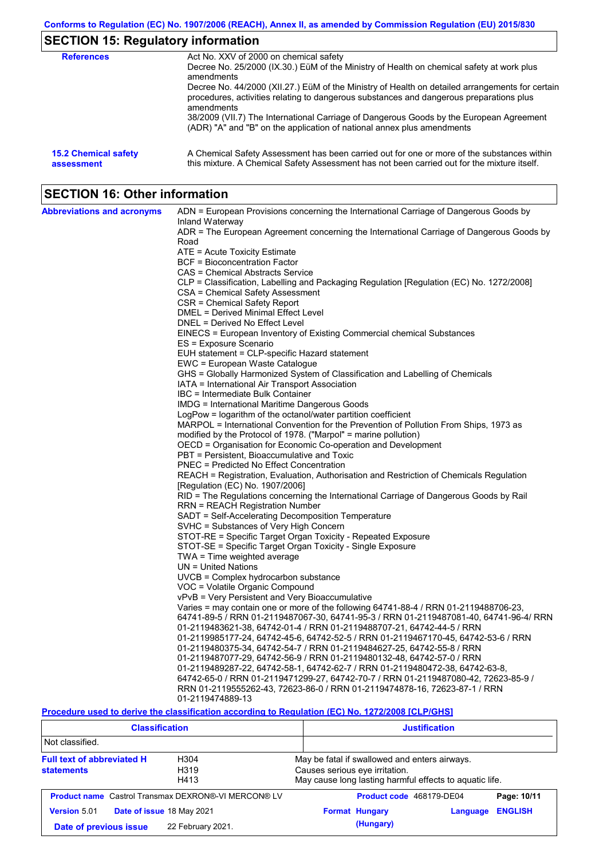# **SECTION 15: Regulatory information**

| <b>References</b>                         | Act No. XXV of 2000 on chemical safety<br>Decree No. 25/2000 (IX.30.) EüM of the Ministry of Health on chemical safety at work plus<br>amendments<br>Decree No. 44/2000 (XII.27.) EüM of the Ministry of Health on detailed arrangements for certain<br>procedures, activities relating to dangerous substances and dangerous preparations plus |
|-------------------------------------------|-------------------------------------------------------------------------------------------------------------------------------------------------------------------------------------------------------------------------------------------------------------------------------------------------------------------------------------------------|
|                                           | amendments<br>38/2009 (VII.7) The International Carriage of Dangerous Goods by the European Agreement<br>(ADR) "A" and "B" on the application of national annex plus amendments                                                                                                                                                                 |
| <b>15.2 Chemical safety</b><br>assessment | A Chemical Safety Assessment has been carried out for one or more of the substances within<br>this mixture. A Chemical Safety Assessment has not been carried out for the mixture itself.                                                                                                                                                       |

# **SECTION 16: Other information**

| <b>Abbreviations and acronyms</b> | ADN = European Provisions concerning the International Carriage of Dangerous Goods by                       |
|-----------------------------------|-------------------------------------------------------------------------------------------------------------|
|                                   | Inland Waterway<br>ADR = The European Agreement concerning the International Carriage of Dangerous Goods by |
|                                   | Road                                                                                                        |
|                                   | ATE = Acute Toxicity Estimate                                                                               |
|                                   | BCF = Bioconcentration Factor                                                                               |
|                                   | CAS = Chemical Abstracts Service                                                                            |
|                                   | CLP = Classification, Labelling and Packaging Regulation [Regulation (EC) No. 1272/2008]                    |
|                                   | CSA = Chemical Safety Assessment                                                                            |
|                                   | CSR = Chemical Safety Report                                                                                |
|                                   | DMEL = Derived Minimal Effect Level                                                                         |
|                                   | DNEL = Derived No Effect Level                                                                              |
|                                   | EINECS = European Inventory of Existing Commercial chemical Substances                                      |
|                                   | ES = Exposure Scenario                                                                                      |
|                                   | EUH statement = CLP-specific Hazard statement                                                               |
|                                   | EWC = European Waste Catalogue                                                                              |
|                                   | GHS = Globally Harmonized System of Classification and Labelling of Chemicals                               |
|                                   | IATA = International Air Transport Association                                                              |
|                                   | IBC = Intermediate Bulk Container                                                                           |
|                                   | <b>IMDG = International Maritime Dangerous Goods</b>                                                        |
|                                   | LogPow = logarithm of the octanol/water partition coefficient                                               |
|                                   | MARPOL = International Convention for the Prevention of Pollution From Ships, 1973 as                       |
|                                   | modified by the Protocol of 1978. ("Marpol" = marine pollution)                                             |
|                                   | OECD = Organisation for Economic Co-operation and Development                                               |
|                                   | PBT = Persistent, Bioaccumulative and Toxic                                                                 |
|                                   | PNEC = Predicted No Effect Concentration                                                                    |
|                                   | REACH = Registration, Evaluation, Authorisation and Restriction of Chemicals Regulation                     |
|                                   | [Regulation (EC) No. 1907/2006]                                                                             |
|                                   | RID = The Regulations concerning the International Carriage of Dangerous Goods by Rail                      |
|                                   | RRN = REACH Registration Number                                                                             |
|                                   | SADT = Self-Accelerating Decomposition Temperature                                                          |
|                                   | SVHC = Substances of Very High Concern                                                                      |
|                                   | STOT-RE = Specific Target Organ Toxicity - Repeated Exposure                                                |
|                                   | STOT-SE = Specific Target Organ Toxicity - Single Exposure                                                  |
|                                   | TWA = Time weighted average                                                                                 |
|                                   | $UN = United Nations$                                                                                       |
|                                   | UVCB = Complex hydrocarbon substance                                                                        |
|                                   | VOC = Volatile Organic Compound                                                                             |
|                                   | vPvB = Very Persistent and Very Bioaccumulative                                                             |
|                                   | Varies = may contain one or more of the following 64741-88-4 / RRN 01-2119488706-23,                        |
|                                   | 64741-89-5 / RRN 01-2119487067-30, 64741-95-3 / RRN 01-2119487081-40, 64741-96-4/ RRN                       |
|                                   | 01-2119483621-38, 64742-01-4 / RRN 01-2119488707-21, 64742-44-5 / RRN                                       |
|                                   | 01-2119985177-24, 64742-45-6, 64742-52-5 / RRN 01-2119467170-45, 64742-53-6 / RRN                           |
|                                   | 01-2119480375-34, 64742-54-7 / RRN 01-2119484627-25, 64742-55-8 / RRN                                       |
|                                   | 01-2119487077-29, 64742-56-9 / RRN 01-2119480132-48, 64742-57-0 / RRN                                       |
|                                   | 01-2119489287-22, 64742-58-1, 64742-62-7 / RRN 01-2119480472-38, 64742-63-8,                                |
|                                   | 64742-65-0 / RRN 01-2119471299-27, 64742-70-7 / RRN 01-2119487080-42, 72623-85-9 /                          |
|                                   | RRN 01-2119555262-43, 72623-86-0 / RRN 01-2119474878-16, 72623-87-1 / RRN                                   |
|                                   | 01-2119474889-13                                                                                            |
|                                   | Procedure used to derive the classification according to Requisition (FC) No. 1272/2008 [C] P/GHS]          |

**Procedure used to derive the classification according to Regulation (EC) No. 1272/2008 [CLP/GHS]**

| <b>Classification</b>                                                                                  |                                                            | <b>Justification</b>                                                                                                                       |                |  |  |
|--------------------------------------------------------------------------------------------------------|------------------------------------------------------------|--------------------------------------------------------------------------------------------------------------------------------------------|----------------|--|--|
| Not classified.                                                                                        |                                                            |                                                                                                                                            |                |  |  |
| <b>Full text of abbreviated H</b><br>H <sub>304</sub><br>H <sub>319</sub><br><b>statements</b><br>H413 |                                                            | May be fatal if swallowed and enters airways.<br>Causes serious eye irritation.<br>May cause long lasting harmful effects to aquatic life. |                |  |  |
|                                                                                                        | <b>Product name</b> Castrol Transmax DEXRON®-VI MERCON® LV | Product code 468179-DE04                                                                                                                   | Page: 10/11    |  |  |
| <b>Version 5.01</b>                                                                                    | Date of issue 18 May 2021                                  | <b>Format Hungary</b><br>Language                                                                                                          | <b>ENGLISH</b> |  |  |
| Date of previous issue                                                                                 | 22 February 2021.                                          | (Hungary)                                                                                                                                  |                |  |  |